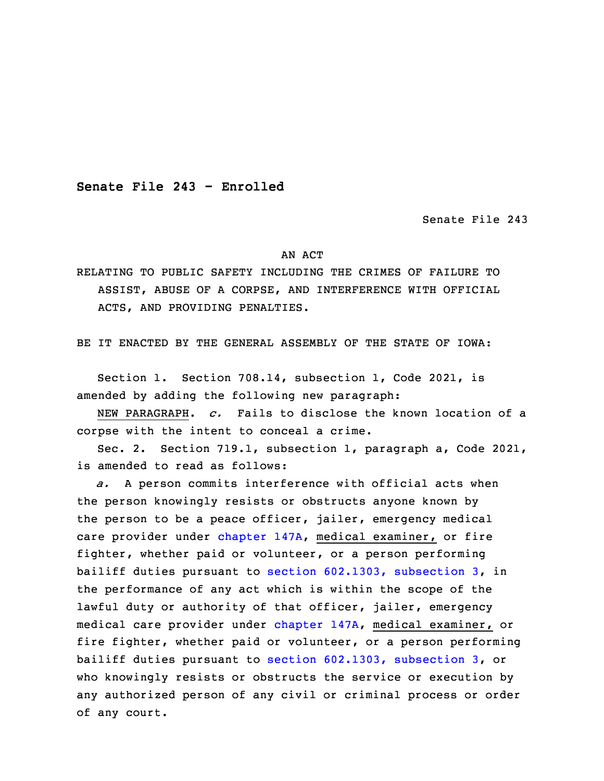**Senate File 243 - Enrolled**

Senate File 243

## AN ACT

RELATING TO PUBLIC SAFETY INCLUDING THE CRIMES OF FAILURE TO ASSIST, ABUSE OF A CORPSE, AND INTERFERENCE WITH OFFICIAL ACTS, AND PROVIDING PENALTIES.

BE IT ENACTED BY THE GENERAL ASSEMBLY OF THE STATE OF IOWA:

 Section 1. Section 708.14, subsection 1, Code 2021, is amended by adding the following new paragraph:

3 NEW PARAGRAPH. *c.* Fails to disclose the known location of <sup>a</sup> corpse with the intent to conceal <sup>a</sup> crime.

5 Sec. 2. Section 719.1, subsection 1, paragraph a, Code 2021, is amended to read as follows:

a. A person commits interference with official acts when the person knowingly resists or obstructs anyone known by the person to be a peace officer, jailer, emergency medical care provider under [chapter](https://www.legis.iowa.gov/docs/code/2021/147A.pdf) 147A, medical examiner, or fire fighter, whether paid or volunteer, or <sup>a</sup> person performing bailiff duties pursuant to section [602.1303,](https://www.legis.iowa.gov/docs/code/2021/602.1303.pdf) subsection 3, in the performance of any act which is within the scope of the lawful duty or authority of that officer, jailer, emergency medical care provider under [chapter](https://www.legis.iowa.gov/docs/code/2021/147A.pdf) 147A, medical examiner, or fire fighter, whether paid or volunteer, or a person performing bailiff duties pursuant to section [602.1303,](https://www.legis.iowa.gov/docs/code/2021/602.1303.pdf) subsection 3, or who knowingly resists or obstructs the service or execution by any authorized person of any civil or criminal process or order of any court.